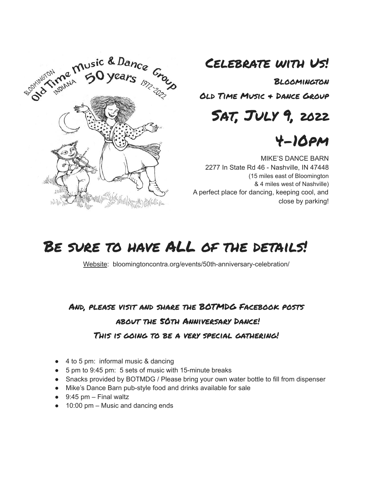

# Celebrate with Us!

Bloomington

Old Time Music & Dance Group

Sat, July 9, 2022

# 4-10pm

MIKE'S DANCE BARN 2277 In State Rd 46 - Nashville, IN 47448 (15 miles east of Bloomington & 4 miles west of Nashville) A perfect place for dancing, keeping cool, and close by parking!

# BE SURE TO HAVE ALL OF THE DETAILS!

Website: bloomingtoncontra.org/events/50th-anniversary-celebration/

## And, please visit and share the BOTMDG Facebook posts about the 50th Anniversary Dance! This is going to be a very special gathering!

- 4 to 5 pm: informal music & dancing
- 5 pm to 9:45 pm: 5 sets of music with 15-minute breaks
- Snacks provided by BOTMDG / Please bring your own water bottle to fill from dispenser
- Mike's Dance Barn pub-style food and drinks available for sale
- $\bullet$  9:45 pm Final waltz
- $\bullet$  10:00 pm Music and dancing ends